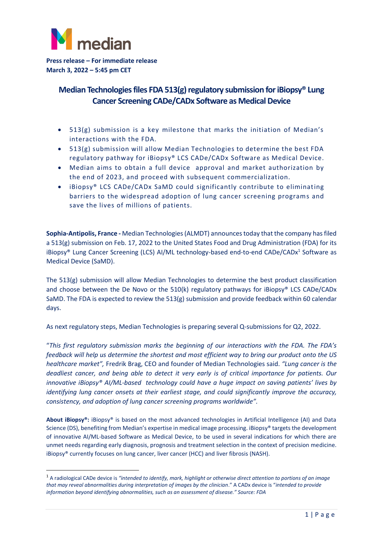

**Press release – For immediate release March 3, 2022 – 5:45 pm CET**

## **Median Technologies files FDA 513(g) regulatory submission for iBiopsy® Lung Cancer Screening CADe/CADx Software as Medical Device**

- 513(g) submission is a key milestone that marks the initiation of Median's interactions with the FDA.
- 513(g) submission will allow Median Technologies to determine the best FDA regulatory pathway for iBiopsy® LCS CADe/CADx Software as Medical Device.
- Median aims to obtain a full device approval and market authorization by the end of 2023, and proceed with subsequent commercialization.
- iBiopsy® LCS CADe/CADx SaMD could significantly contribute to eliminating barriers to the widespread adoption of lung cancer screening programs and save the lives of millions of patients.

**Sophia-Antipolis, France -** Median Technologies(ALMDT) announces today that the company has filed a 513(g) submission on Feb. 17, 2022 to the United States Food and Drug Administration (FDA) for its iBiopsy® Lung Cancer Screening (LCS) AI/ML technology-based end-to-end CADe/CADx<sup>1</sup> Software as Medical Device (SaMD).

The 513(g) submission will allow Median Technologies to determine the best product classification and choose between the De Novo or the 510(k) regulatory pathways for iBiopsy® LCS CADe/CADx SaMD. The FDA is expected to review the 513(g) submission and provide feedback within 60 calendar days.

As next regulatory steps, Median Technologies is preparing several Q-submissions for Q2, 2022.

"*This first regulatory submission marks the beginning of our interactions with the FDA. The FDA's feedback will help us determine the shortest and most efficient way to bring our product onto the US healthcare market",* Fredrik Brag, CEO and founder of Median Technologies said. *"Lung cancer is the deadliest cancer, and being able to detect it very early is of critical importance for patients. Our innovative iBiopsy® AI/ML-based technology could have a huge impact on saving patients' lives by identifying lung cancer onsets at their earliest stage, and could significantly improve the accuracy, consistency, and adoption of lung cancer screening programs worldwide".*

**About iBiopsy®:** iBiopsy® is based on the most advanced technologies in Artificial Intelligence (AI) and Data Science (DS), benefiting from Median's expertise in medical image processing. iBiopsy® targets the development of innovative AI/ML-based Software as Medical Device, to be used in several indications for which there are unmet needs regarding early diagnosis, prognosis and treatment selection in the context of precision medicine. iBiopsy® currently focuses on lung cancer, liver cancer (HCC) and liver fibrosis (NASH).

<sup>1</sup> A radiological CADe device is *"intended to identify, mark, highlight or otherwise direct attention to portions of an image that may reveal abnormalities during interpretation of images by the clinician*." A CADx device is "*intended to provide information beyond identifying abnormalities, such as an assessment of disease." Source: FDA*